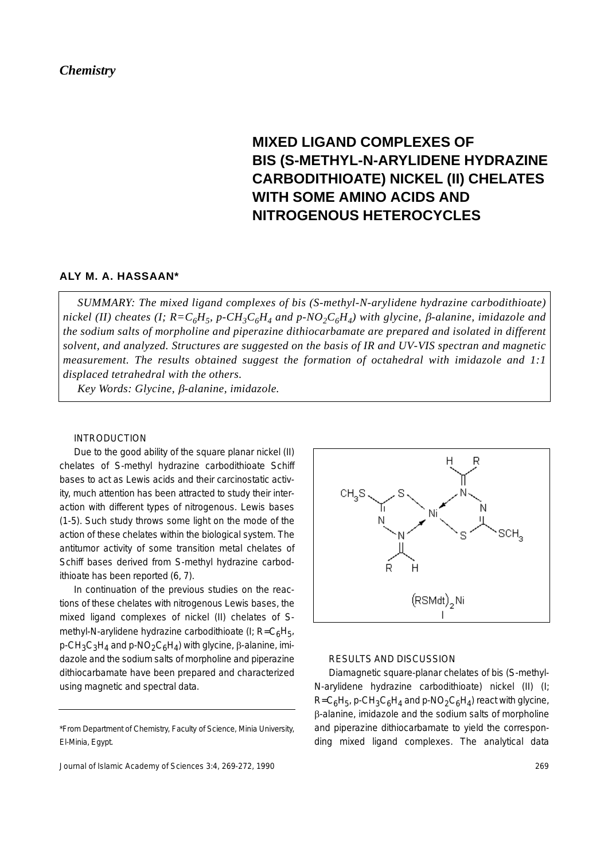# *Chemistry*

# **MIXED LIGAND COMPLEXES OF BIS (S-METHYL-N-ARYLIDENE HYDRAZINE CARBODITHIOATE) NICKEL (II) CHELATES WITH SOME AMINO ACIDS AND NITROGENOUS HETEROCYCLES**

# **ALY M. A. HASSAAN\***

*SUMMARY: The mixed ligand complexes of bis (S-methyl-N-arylidene hydrazine carbodithioate) nickel (II) cheates (I; R=C<sub>6</sub>H<sub>5</sub>, p-CH<sub>3</sub>C<sub>6</sub>H<sub>4</sub> and p-NO<sub>2</sub>C<sub>6</sub>H<sub>4</sub>) with glycine, β-alanine, imidazole and the sodium salts of morpholine and piperazine dithiocarbamate are prepared and isolated in different solvent, and analyzed. Structures are suggested on the basis of IR and UV-VIS spectran and magnetic measurement. The results obtained suggest the formation of octahedral with imidazole and 1:1 displaced tetrahedral with the others.*

*Key Words: Glycine,* β*-alanine, imidazole.*

#### INTRODUCTION

Due to the good ability of the square planar nickel (II) chelates of S-methyl hydrazine carbodithioate Schiff bases to act as Lewis acids and their carcinostatic activity, much attention has been attracted to study their interaction with different types of nitrogenous. Lewis bases (1-5). Such study throws some light on the mode of the action of these chelates within the biological system. The antitumor activity of some transition metal chelates of Schiff bases derived from S-methyl hydrazine carbodithioate has been reported (6, 7).

In continuation of the previous studies on the reactions of these chelates with nitrogenous Lewis bases, the mixed ligand complexes of nickel (II) chelates of Smethyl-N-arylidene hydrazine carbodithioate (I;  $R = C_6H_{51}$ p-CH<sub>3</sub>C<sub>3</sub>H<sub>4</sub> and p-NO<sub>2</sub>C<sub>6</sub>H<sub>4</sub>) with glycine, β-alanine, imidazole and the sodium salts of morpholine and piperazine dithiocarbamate have been prepared and characterized using magnetic and spectral data.

<sup>\*</sup>From Department of Chemistry, Faculty of Science, Minia University, El-Minia, Egypt.





#### RESULTS AND DISCUSSION

Diamagnetic square-planar chelates of bis (S-methyl-N-arylidene hydrazine carbodithioate) nickel (II) (I;  $R=C_6H_5$ , p-CH<sub>3</sub>C<sub>6</sub>H<sub>A</sub> and p-NO<sub>2</sub>C<sub>6</sub>H<sub>A</sub>) react with glycine, β-alanine, imidazole and the sodium salts of morpholine and piperazine dithiocarbamate to yield the corresponding mixed ligand complexes. The analytical data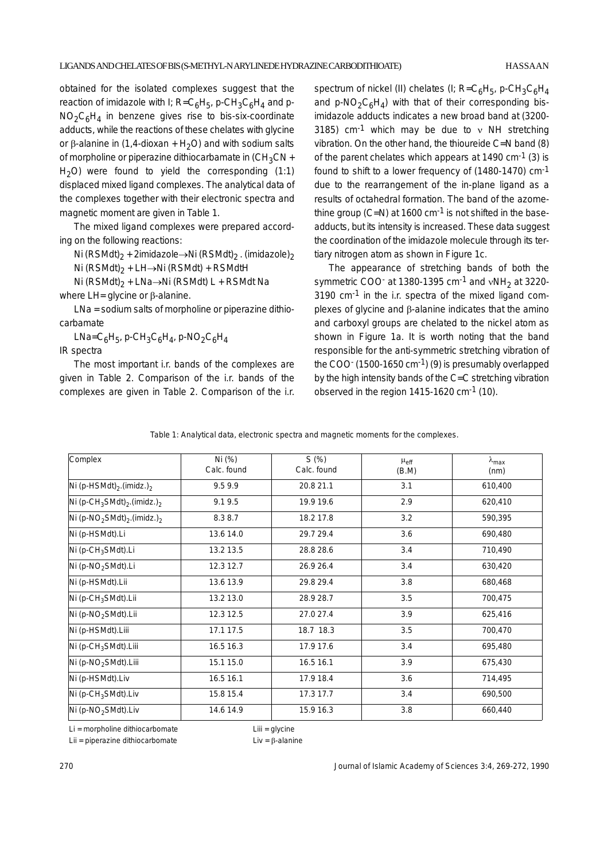obtained for the isolated complexes suggest that the reaction of imidazole with I;  $R = C_6H_5$ , p-CH<sub>3</sub>C<sub>6</sub>H<sub>4</sub> and p- $NO<sub>2</sub>CAH<sub>4</sub>$  in benzene gives rise to bis-six-coordinate adducts, while the reactions of these chelates with glycine or β-alanine in (1,4-dioxan + H<sub>2</sub>O) and with sodium salts of morpholine or piperazine dithiocarbamate in  $(CH_3CN +$  $H<sub>2</sub>O$ ) were found to yield the corresponding (1:1) displaced mixed ligand complexes. The analytical data of the complexes together with their electronic spectra and magnetic moment are given in Table 1.

The mixed ligand complexes were prepared according on the following reactions:

Ni (RSMdt)<sub>2</sub> + 2imidazole→Ni (RSMdt)<sub>2</sub>. (imidazole)<sub>2</sub>

Ni (RSMdt)<sub>2</sub> + LH→Ni (RSMdt) + RSMdtH

Ni (RSMdt)<sub>2</sub> + LNa→Ni (RSMdt) L + RSMdt Na

where LH= glycine or β-alanine.

LNa = sodium salts of morpholine or piperazine dithiocarbamate

LNa=C<sub>6</sub>H<sub>5</sub>, p-CH<sub>3</sub>C<sub>6</sub>H<sub>4</sub>, p-NO<sub>2</sub>C<sub>6</sub>H<sub>4</sub> IR spectra

The most important i.r. bands of the complexes are given in Table 2. Comparison of the i.r. bands of the complexes are given in Table 2. Comparison of the i.r. spectrum of nickel (II) chelates (I;  $R = C_6H_5$ , p-CH<sub>3</sub>C<sub>6</sub>H<sub>4</sub> and p-NO<sub>2</sub>C<sub>6</sub>H<sub>4</sub>) with that of their corresponding bisimidazole adducts indicates a new broad band at (3200- 3185) cm<sup>-1</sup> which may be due to  $v$  NH stretching vibration. On the other hand, the thioureide C=N band (8) of the parent chelates which appears at  $1490 \text{ cm}^{-1}$  (3) is found to shift to a lower frequency of (1480-1470) cm-1 due to the rearrangement of the in-plane ligand as a results of octahedral formation. The band of the azomethine group (C=N) at 1600 cm<sup>-1</sup> is not shifted in the baseadducts, but its intensity is increased. These data suggest the coordination of the imidazole molecule through its tertiary nitrogen atom as shown in Figure 1c.

The appearance of stretching bands of both the symmetric COO $\cdot$  at 1380-1395 cm $^{-1}$  and  $vNH<sub>2</sub>$  at 3220- $3190$  cm $^{-1}$  in the i.r. spectra of the mixed ligand complexes of glycine and β-alanine indicates that the amino and carboxyl groups are chelated to the nickel atom as shown in Figure 1a. It is worth noting that the band responsible for the anti-symmetric stretching vibration of the COO $(1500-1650 \text{ cm}^{-1})$  (9) is presumably overlapped by the high intensity bands of the C=C stretching vibration observed in the region 1415-1620 cm-1 (10).

|  |  |  | Table 1: Analytical data, electronic spectra and magnetic moments for the complexes. |
|--|--|--|--------------------------------------------------------------------------------------|
|--|--|--|--------------------------------------------------------------------------------------|

| Complex                                                         | Ni (%)<br>Calc. found | S(%)<br>Calc. found | $\mu_{\text{eff}}$<br>(B.M) | $\lambda_{\text{max}}$<br>(nm) |
|-----------------------------------------------------------------|-----------------------|---------------------|-----------------------------|--------------------------------|
| Ni (p-HSMdt) <sub>2</sub> .(imidz.) <sub>2</sub>                | 9.59.9                | 20.8 21.1           | 3.1                         | 610,400                        |
| Ni (p-CH <sub>3</sub> SMdt) <sub>2</sub> .(imidz.) <sub>2</sub> | 9.19.5                | 19.9 19.6           | 2.9                         | 620,410                        |
| Ni (p-NO <sub>2</sub> SMdt) <sub>2</sub> .(imidz.) <sub>2</sub> | 8.38.7                | 18.2 17.8           | 3.2                         | 590,395                        |
| Ni (p-HSMdt).Li                                                 | 13.6 14.0             | 29.7 29.4           | 3.6                         | 690,480                        |
| Ni (p-CH <sub>3</sub> SMdt).Li                                  | 13.2 13.5             | 28.8 28.6           | 3.4                         | 710,490                        |
| Ni (p-NO <sub>2</sub> SMdt).Li                                  | 12.3 12.7             | 26.9 26.4           | 3.4                         | 630,420                        |
| Ni (p-HSMdt).Lii                                                | 13.6 13.9             | 29.8 29.4           | 3.8                         | 680,468                        |
| Ni (p-CH <sub>3</sub> SMdt).Lii                                 | 13.2 13.0             | 28.9 28.7           | 3.5                         | 700,475                        |
| Ni (p-NO <sub>2</sub> SMdt).Lii                                 | 12.3 12.5             | 27.0 27.4           | 3.9                         | 625,416                        |
| Ni (p-HSMdt).Liii                                               | 17.1 17.5             | 18.7 18.3           | 3.5                         | 700,470                        |
| Ni (p-CH <sub>3</sub> SMdt).Liii                                | 16.5 16.3             | 17.9 17.6           | 3.4                         | 695,480                        |
| Ni (p-NO <sub>2</sub> SMdt).Liii                                | 15.1 15.0             | 16.5 16.1           | 3.9                         | 675,430                        |
| Ni (p-HSMdt).Liv                                                | 16.5 16.1             | 17.9 18.4           | 3.6                         | 714,495                        |
| Ni (p-CH <sub>3</sub> SMdt).Liv                                 | 15.8 15.4             | 17.3 17.7           | 3.4                         | 690,500                        |
| Ni (p-NO <sub>2</sub> SMdt).Liv                                 | 14.6 14.9             | 15.9 16.3           | 3.8                         | 660,440                        |

Li = morpholine dithiocarbomate Liii = glycine Lii = piperazine dithiocarbomate  $L$ ii = β-alanine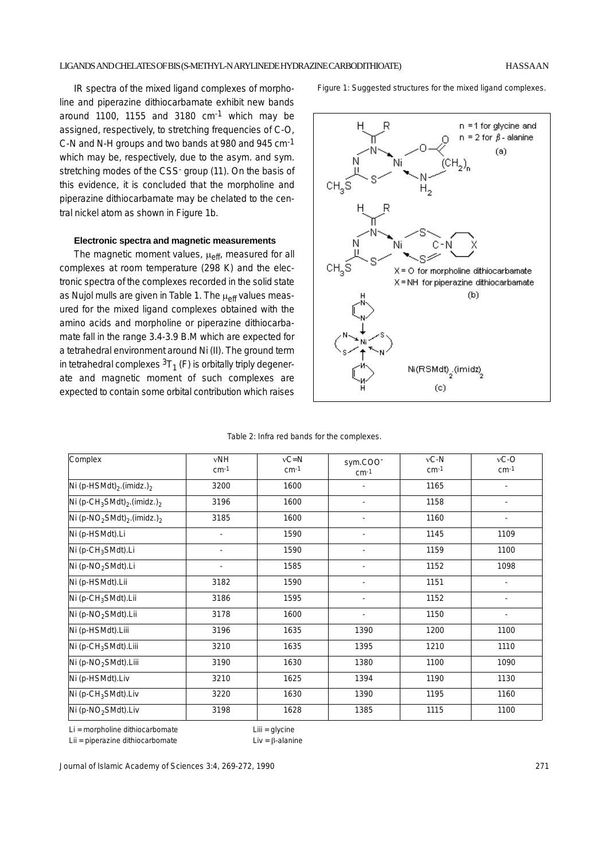IR spectra of the mixed ligand complexes of morpholine and piperazine dithiocarbamate exhibit new bands around 1100, 1155 and 3180  $cm<sup>-1</sup>$  which may be assigned, respectively, to stretching frequencies of C-O, C-N and N-H groups and two bands at 980 and 945 cm-1 which may be, respectively, due to the asym. and sym. stretching modes of the CSS<sup>-</sup> group (11). On the basis of this evidence, it is concluded that the morpholine and piperazine dithiocarbamate may be chelated to the central nickel atom as shown in Figure 1b.

#### **Electronic spectra and magnetic measurements**

The magnetic moment values,  $\mu_{\text{eff}}$ , measured for all complexes at room temperature (298 K) and the electronic spectra of the complexes recorded in the solid state as Nujol mulls are given in Table 1. The  $\mu_{\text{eff}}$  values measured for the mixed ligand complexes obtained with the amino acids and morpholine or piperazine dithiocarbamate fall in the range 3.4-3.9 B.M which are expected for a tetrahedral environment around Ni (II). The ground term in tetrahedral complexes  ${}^{3}T_{1}$  (F) is orbitally triply degenerate and magnetic moment of such complexes are expected to contain some orbital contribution which raises Figure 1: Suggested structures for the mixed ligand complexes.



| Table 2: Infra red bands for the complexes. |  |  |  |
|---------------------------------------------|--|--|--|
|---------------------------------------------|--|--|--|

| Complex                                                         | vNH<br>$cm-1$ | $vC = N$<br>$cm-1$ | sym.COO <sup>-</sup><br>$cm-1$ | $vC-N$<br>$cm-1$ | $vC-C$<br>$cm-1$         |
|-----------------------------------------------------------------|---------------|--------------------|--------------------------------|------------------|--------------------------|
| Ni (p-HSMdt) <sub>2</sub> .(imidz.) <sub>2</sub>                | 3200          | 1600               | $\overline{\phantom{a}}$       | 1165             | $\overline{\phantom{a}}$ |
| Ni (p-CH <sub>3</sub> SMdt) <sub>2</sub> .(imidz.) <sub>2</sub> | 3196          | 1600               | $\overline{\phantom{a}}$       | 1158             | $\overline{\phantom{a}}$ |
| Ni (p-NO <sub>2</sub> SMdt) <sub>2</sub> .(imidz.) <sub>2</sub> | 3185          | 1600               |                                | 1160             |                          |
| Ni (p-HSMdt).Li                                                 |               | 1590               |                                | 1145             | 1109                     |
| Ni (p-CH <sub>3</sub> SMdt).Li                                  |               | 1590               |                                | 1159             | 1100                     |
| Ni (p-NO <sub>2</sub> SMdt).Li                                  |               | 1585               | $\overline{\phantom{a}}$       | 1152             | 1098                     |
| Ni (p-HSMdt).Lii                                                | 3182          | 1590               | $\overline{\phantom{a}}$       | 1151             | $\overline{\phantom{a}}$ |
| Ni (p-CH <sub>3</sub> SMdt).Lii                                 | 3186          | 1595               | $\overline{\phantom{a}}$       | 1152             | $\overline{\phantom{a}}$ |
| Ni (p-NO <sub>2</sub> SMdt).Lii                                 | 3178          | 1600               | $\overline{\phantom{a}}$       | 1150             |                          |
| Ni (p-HSMdt).Liii                                               | 3196          | 1635               | 1390                           | 1200             | 1100                     |
| Ni (p-CH <sub>3</sub> SMdt).Liii                                | 3210          | 1635               | 1395                           | 1210             | 1110                     |
| Ni (p-NO <sub>2</sub> SMdt).Liii                                | 3190          | 1630               | 1380                           | 1100             | 1090                     |
| Ni (p-HSMdt).Liv                                                | 3210          | 1625               | 1394                           | 1190             | 1130                     |
| Ni (p-CH <sub>3</sub> SMdt).Liv                                 | 3220          | 1630               | 1390                           | 1195             | 1160                     |
| Ni (p-NO <sub>2</sub> SMdt).Liv                                 | 3198          | 1628               | 1385                           | 1115             | 1100                     |

Li = morpholine dithiocarbomate Liii = glycine Lii = piperazine dithiocarbomate  $L$ ii = β-alanine

Journal of Islamic Academy of Sciences 3:4, 269-272, 1990 271